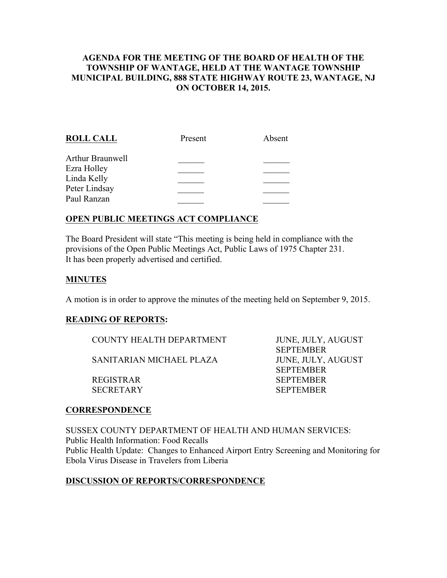#### AGENDA FOR THE MEETING OF THE BOARD OF HEALTH OF THE TOWNSHIP OF WANTAGE, HELD AT THE WANTAGE TOWNSHIP MUNICIPAL BUILDING, 888 STATE HIGHWAY ROUTE 23, WANTAGE, NJ ON OCTOBER 14, 2015.

| <b>ROLL CALL</b> | Present | Absent |
|------------------|---------|--------|
| Arthur Braunwell |         |        |
| Ezra Holley      |         |        |
| Linda Kelly      |         |        |
| Peter Lindsay    |         |        |
| Paul Ranzan      |         |        |
|                  |         |        |

## OPEN PUBLIC MEETINGS ACT COMPLIANCE

The Board President will state "This meeting is being held in compliance with the provisions of the Open Public Meetings Act, Public Laws of 1975 Chapter 231. It has been properly advertised and certified.

#### MINUTES

A motion is in order to approve the minutes of the meeting held on September 9, 2015.

#### READING OF REPORTS:

COUNTY HEALTH DEPARTMENT JUNE, JULY, AUGUST

SANITARIAN MICHAEL PLAZA JUNE, JULY, AUGUST

SECRETARY SEPTEMBER

 SEPTEMBER SEPTEMBER REGISTRAR SEPTEMBER

## **CORRESPONDENCE**

SUSSEX COUNTY DEPARTMENT OF HEALTH AND HUMAN SERVICES: Public Health Information: Food Recalls Public Health Update: Changes to Enhanced Airport Entry Screening and Monitoring for Ebola Virus Disease in Travelers from Liberia

#### DISCUSSION OF REPORTS/CORRESPONDENCE